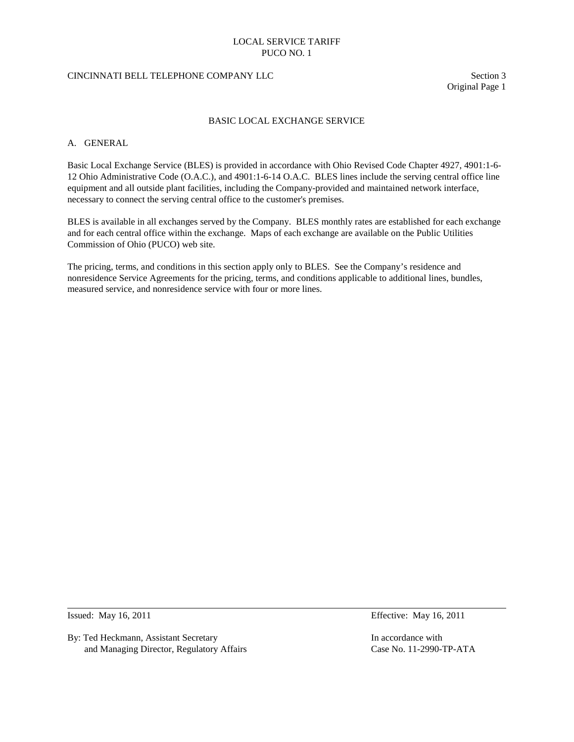#### CINCINNATI BELL TELEPHONE COMPANY LLC Section 3

Original Page 1

#### BASIC LOCAL EXCHANGE SERVICE

### A. GENERAL

Basic Local Exchange Service (BLES) is provided in accordance with Ohio Revised Code Chapter 4927, 4901:1-6- 12 Ohio Administrative Code (O.A.C.), and 4901:1-6-14 O.A.C. BLES lines include the serving central office line equipment and all outside plant facilities, including the Company-provided and maintained network interface, necessary to connect the serving central office to the customer's premises.

BLES is available in all exchanges served by the Company. BLES monthly rates are established for each exchange and for each central office within the exchange. Maps of each exchange are available on the Public Utilities Commission of Ohio (PUCO) web site.

The pricing, terms, and conditions in this section apply only to BLES. See the Company's residence and nonresidence Service Agreements for the pricing, terms, and conditions applicable to additional lines, bundles, measured service, and nonresidence service with four or more lines.

By: Ted Heckmann, Assistant Secretary In accordance with<br>and Managing Director, Regulatory Affairs Case No. 11-2990-TP-ATA and Managing Director, Regulatory Affairs

Issued: May 16, 2011 Effective: May 16, 2011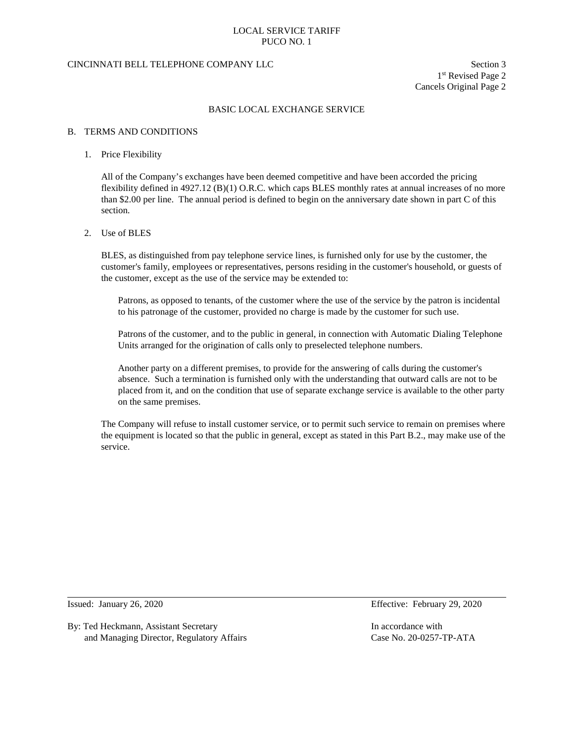### CINCINNATI BELL TELEPHONE COMPANY LLC Section 3

1st Revised Page 2 Cancels Original Page 2

#### BASIC LOCAL EXCHANGE SERVICE

#### B. TERMS AND CONDITIONS

### 1. Price Flexibility

All of the Company's exchanges have been deemed competitive and have been accorded the pricing flexibility defined in 4927.12 (B)(1) O.R.C. which caps BLES monthly rates at annual increases of no more than \$2.00 per line. The annual period is defined to begin on the anniversary date shown in part C of this section.

#### 2. Use of BLES

BLES, as distinguished from pay telephone service lines, is furnished only for use by the customer, the customer's family, employees or representatives, persons residing in the customer's household, or guests of the customer, except as the use of the service may be extended to:

Patrons, as opposed to tenants, of the customer where the use of the service by the patron is incidental to his patronage of the customer, provided no charge is made by the customer for such use.

Patrons of the customer, and to the public in general, in connection with Automatic Dialing Telephone Units arranged for the origination of calls only to preselected telephone numbers.

Another party on a different premises, to provide for the answering of calls during the customer's absence. Such a termination is furnished only with the understanding that outward calls are not to be placed from it, and on the condition that use of separate exchange service is available to the other party on the same premises.

The Company will refuse to install customer service, or to permit such service to remain on premises where the equipment is located so that the public in general, except as stated in this Part B.2., may make use of the service.

By: Ted Heckmann, Assistant Secretary **In accordance with** In accordance with and Managing Director, Regulatory Affairs Case No. 20-0257-TP-ATA

Issued: January 26, 2020 Effective: February 29, 2020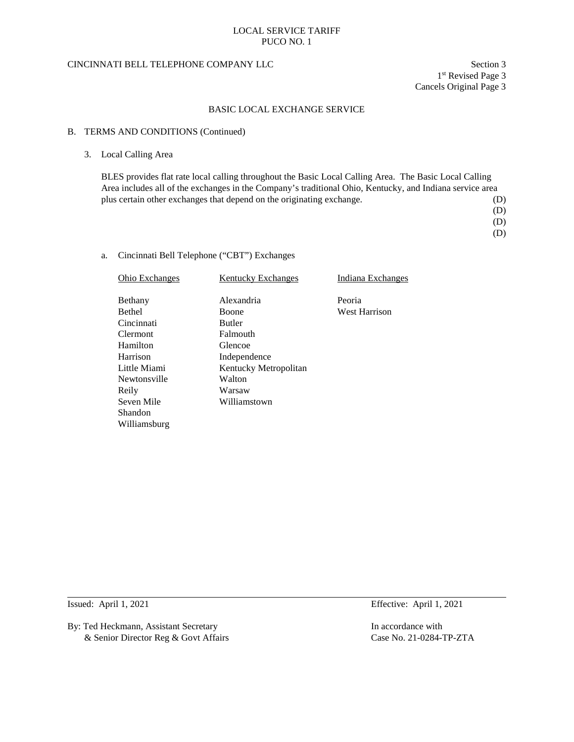### CINCINNATI BELL TELEPHONE COMPANY LLC Section 3

1st Revised Page 3 Cancels Original Page 3

#### BASIC LOCAL EXCHANGE SERVICE

#### B. TERMS AND CONDITIONS (Continued)

### 3. Local Calling Area

BLES provides flat rate local calling throughout the Basic Local Calling Area. The Basic Local Calling Area includes all of the exchanges in the Company's traditional Ohio, Kentucky, and Indiana service area plus certain other exchanges that depend on the originating exchange. (D)

- (D)
	- (D)
	- (D)

### a. Cincinnati Bell Telephone ("CBT") Exchanges

| <b>Ohio Exchanges</b> | <b>Kentucky Exchanges</b> | Indiana Exchanges    |
|-----------------------|---------------------------|----------------------|
| Bethany               | Alexandria                | Peoria               |
| <b>Bethel</b>         | <b>Boone</b>              | <b>West Harrison</b> |
| Cincinnati            | <b>Butler</b>             |                      |
| <b>Clermont</b>       | Falmouth                  |                      |
| Hamilton              | Glencoe                   |                      |
| Harrison              | Independence              |                      |
| Little Miami          | Kentucky Metropolitan     |                      |
| Newtonsville          | Walton                    |                      |
| Reily                 | Warsaw                    |                      |
| Seven Mile            | Williamstown              |                      |
| Shandon               |                           |                      |
| Williamsburg          |                           |                      |

By: Ted Heckmann, Assistant Secretary In accordance with & Senior Director Reg & Govt Affairs Case No. 21-0284-TP-ZTA

Issued: April 1, 2021 Effective: April 1, 2021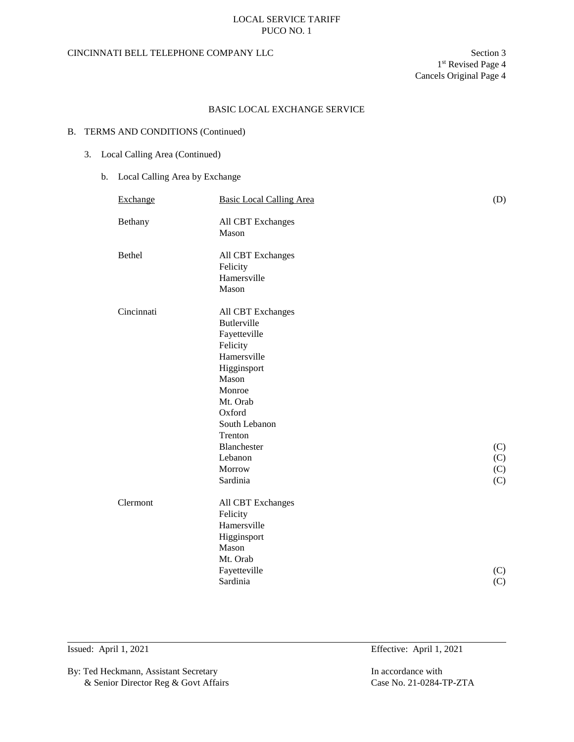## CINCINNATI BELL TELEPHONE COMPANY LLC Section 3

## BASIC LOCAL EXCHANGE SERVICE

### B. TERMS AND CONDITIONS (Continued)

# 3. Local Calling Area (Continued)

## b. Local Calling Area by Exchange

| Exchange   | <b>Basic Local Calling Area</b> | (D) |
|------------|---------------------------------|-----|
| Bethany    | All CBT Exchanges               |     |
|            | Mason                           |     |
|            |                                 |     |
| Bethel     | All CBT Exchanges               |     |
|            | Felicity                        |     |
|            | Hamersville                     |     |
|            | Mason                           |     |
| Cincinnati | All CBT Exchanges               |     |
|            | <b>Butlerville</b>              |     |
|            | Fayetteville                    |     |
|            | Felicity                        |     |
|            | Hamersville                     |     |
|            | Higginsport                     |     |
|            | Mason                           |     |
|            | Monroe                          |     |
|            | Mt. Orab                        |     |
|            | Oxford                          |     |
|            | South Lebanon                   |     |
|            | Trenton                         |     |
|            | Blanchester                     | (C) |
|            | Lebanon                         | (C) |
|            | Morrow                          | (C) |
|            | Sardinia                        | (C) |
| Clermont   | All CBT Exchanges               |     |
|            | Felicity                        |     |
|            | Hamersville                     |     |
|            | Higginsport                     |     |
|            | Mason                           |     |
|            | Mt. Orab                        |     |
|            | Fayetteville                    | (C) |
|            | Sardinia                        | (C) |
|            |                                 |     |

By: Ted Heckmann, Assistant Secretary In accordance with & Senior Director Reg & Govt Affairs Case No. 21-0284-TP-ZTA

Issued: April 1, 2021 Effective: April 1, 2021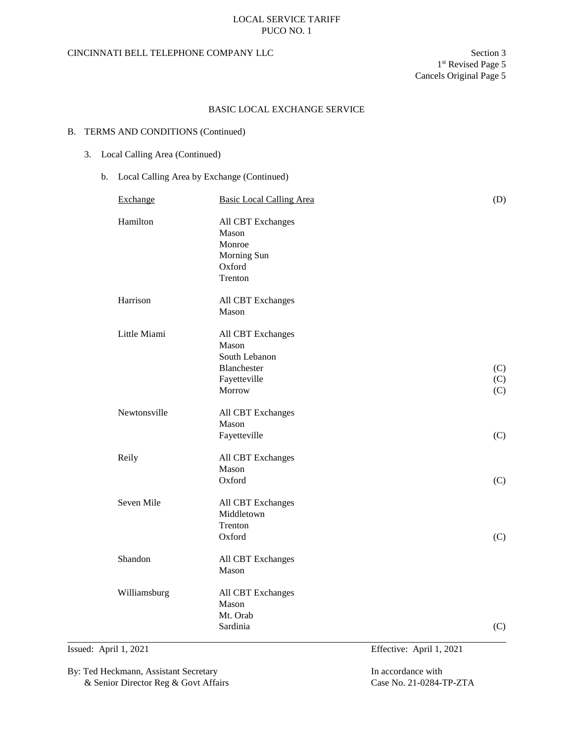## CINCINNATI BELL TELEPHONE COMPANY LLC Section 3

## BASIC LOCAL EXCHANGE SERVICE

### B. TERMS AND CONDITIONS (Continued)

# 3. Local Calling Area (Continued)

## b. Local Calling Area by Exchange (Continued)

| Exchange     | <b>Basic Local Calling Area</b>                                                      | (D)               |
|--------------|--------------------------------------------------------------------------------------|-------------------|
| Hamilton     | All CBT Exchanges<br>Mason<br>Monroe<br>Morning Sun<br>Oxford<br>Trenton             |                   |
| Harrison     | All CBT Exchanges<br>Mason                                                           |                   |
| Little Miami | All CBT Exchanges<br>Mason<br>South Lebanon<br>Blanchester<br>Fayetteville<br>Morrow | (C)<br>(C)<br>(C) |
| Newtonsville | All CBT Exchanges<br>Mason<br>Fayetteville                                           | (C)               |
| Reily        | All CBT Exchanges<br>Mason<br>Oxford                                                 | (C)               |
| Seven Mile   | All CBT Exchanges<br>Middletown<br>Trenton<br>Oxford                                 | (C)               |
| Shandon      | All CBT Exchanges<br>Mason                                                           |                   |
| Williamsburg | All CBT Exchanges<br>Mason<br>Mt. Orab<br>Sardinia                                   | (C)               |

By: Ted Heckmann, Assistant Secretary In accordance with & Senior Director Reg & Govt Affairs Case No. 21-0284-TP-ZTA

Issued: April 1, 2021 Effective: April 1, 2021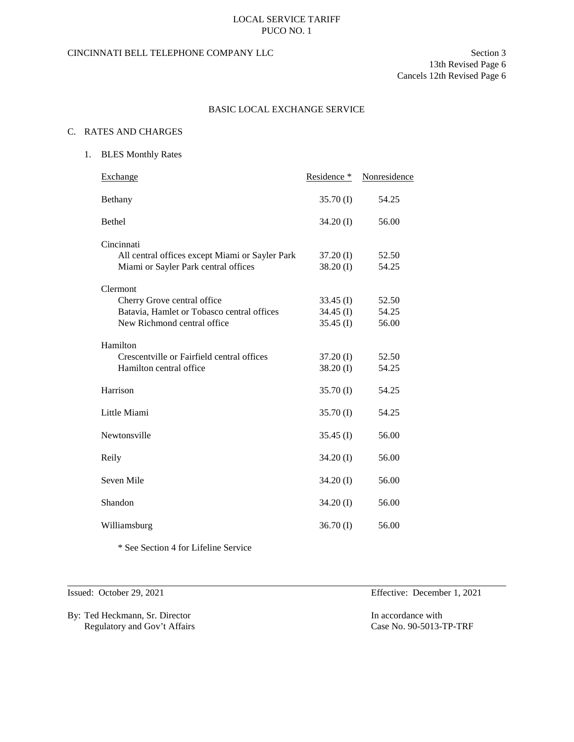# CINCINNATI BELL TELEPHONE COMPANY LLC Section 3

13th Revised Page 6 Cancels 12th Revised Page 6

## BASIC LOCAL EXCHANGE SERVICE

### C. RATES AND CHARGES

1. BLES Monthly Rates

| Exchange                                                                                                             | Residence *                               | Nonresidence            |
|----------------------------------------------------------------------------------------------------------------------|-------------------------------------------|-------------------------|
| Bethany                                                                                                              | $35.70$ (I)                               | 54.25                   |
| <b>Bethel</b>                                                                                                        | $34.20$ (I)                               | 56.00                   |
| Cincinnati<br>All central offices except Miami or Sayler Park<br>Miami or Sayler Park central offices                | $37.20$ (I)<br>$38.20$ (I)                | 52.50<br>54.25          |
| Clermont<br>Cherry Grove central office<br>Batavia, Hamlet or Tobasco central offices<br>New Richmond central office | $33.45$ (I)<br>34.45 $(I)$<br>$35.45$ (I) | 52.50<br>54.25<br>56.00 |
| Hamilton<br>Crescentville or Fairfield central offices<br>Hamilton central office                                    | $37.20$ (I)<br>$38.20$ (I)                | 52.50<br>54.25          |
| Harrison                                                                                                             | $35.70$ (I)                               | 54.25                   |
| Little Miami                                                                                                         | $35.70$ (I)                               | 54.25                   |
| Newtonsville                                                                                                         | $35.45$ (I)                               | 56.00                   |
| Reily                                                                                                                | $34.20$ (I)                               | 56.00                   |
| Seven Mile                                                                                                           | 34.20 (I)                                 | 56.00                   |
| Shandon                                                                                                              | $34.20$ (I)                               | 56.00                   |
| Williamsburg                                                                                                         | $36.70$ (I)                               | 56.00                   |
|                                                                                                                      |                                           |                         |

\* See Section 4 for Lifeline Service

By: Ted Heckmann, Sr. Director In accordance with Regulatory and Gov't Affairs Case No. 90-5013-TP-TRF

Issued: October 29, 2021 Effective: December 1, 2021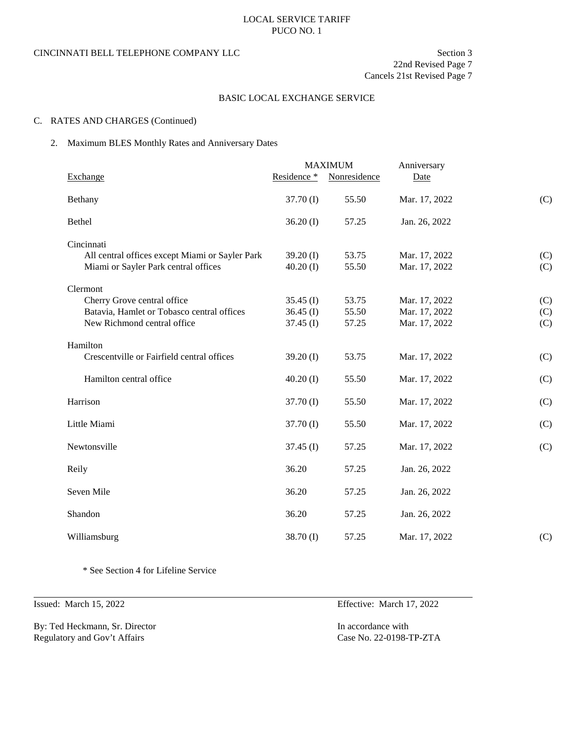### CINCINNATI BELL TELEPHONE COMPANY LLC Section 3

22nd Revised Page 7

Cancels 21st Revised Page 7

### BASIC LOCAL EXCHANGE SERVICE

## C. RATES AND CHARGES (Continued)

### 2. Maximum BLES Monthly Rates and Anniversary Dates

|                                                                                                                      |                                           | <b>MAXIMUM</b>          | Anniversary                                     |                   |
|----------------------------------------------------------------------------------------------------------------------|-------------------------------------------|-------------------------|-------------------------------------------------|-------------------|
| Exchange                                                                                                             | Residence *                               | Nonresidence            | Date                                            |                   |
| Bethany                                                                                                              | $37.70$ (I)                               | 55.50                   | Mar. 17, 2022                                   | (C)               |
| Bethel                                                                                                               | $36.20$ (I)                               | 57.25                   | Jan. 26, 2022                                   |                   |
| Cincinnati<br>All central offices except Miami or Sayler Park<br>Miami or Sayler Park central offices                | 39.20 $(I)$<br>$40.20$ (I)                | 53.75<br>55.50          | Mar. 17, 2022<br>Mar. 17, 2022                  | (C)<br>(C)        |
| Clermont<br>Cherry Grove central office<br>Batavia, Hamlet or Tobasco central offices<br>New Richmond central office | $35.45$ (I)<br>$36.45$ (I)<br>$37.45$ (I) | 53.75<br>55.50<br>57.25 | Mar. 17, 2022<br>Mar. 17, 2022<br>Mar. 17, 2022 | (C)<br>(C)<br>(C) |
| Hamilton<br>Crescentville or Fairfield central offices                                                               | $39.20$ (I)                               | 53.75                   | Mar. 17, 2022                                   | (C)               |
| Hamilton central office                                                                                              | $40.20$ (I)                               | 55.50                   | Mar. 17, 2022                                   | (C)               |
| Harrison                                                                                                             | $37.70$ (I)                               | 55.50                   | Mar. 17, 2022                                   | (C)               |
| Little Miami                                                                                                         | $37.70$ (I)                               | 55.50                   | Mar. 17, 2022                                   | (C)               |
| Newtonsville                                                                                                         | $37.45$ (I)                               | 57.25                   | Mar. 17, 2022                                   | (C)               |
| Reily                                                                                                                | 36.20                                     | 57.25                   | Jan. 26, 2022                                   |                   |
| Seven Mile                                                                                                           | 36.20                                     | 57.25                   | Jan. 26, 2022                                   |                   |
| Shandon                                                                                                              | 36.20                                     | 57.25                   | Jan. 26, 2022                                   |                   |
| Williamsburg                                                                                                         | $38.70$ (I)                               | 57.25                   | Mar. 17, 2022                                   | (C)               |

\* See Section 4 for Lifeline Service

By: Ted Heckmann, Sr. Director In accordance with<br>
Regulatory and Gov't Affairs<br>
Case No. 22-0198-TP-ZTA Regulatory and Gov't Affairs

Issued: March 15, 2022 Effective: March 17, 2022